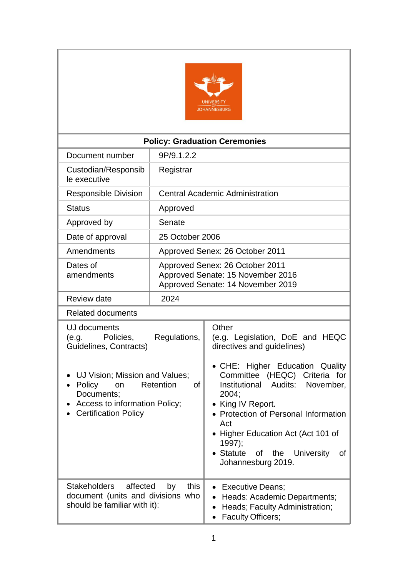

| <b>Policy: Graduation Ceremonies</b>                                                                                                                                                                                                      |                 |                                                                                                                                                                                                                                                                                                                                                                  |  |  |
|-------------------------------------------------------------------------------------------------------------------------------------------------------------------------------------------------------------------------------------------|-----------------|------------------------------------------------------------------------------------------------------------------------------------------------------------------------------------------------------------------------------------------------------------------------------------------------------------------------------------------------------------------|--|--|
| Document number                                                                                                                                                                                                                           | 9P/9.1.2.2      |                                                                                                                                                                                                                                                                                                                                                                  |  |  |
| Custodian/Responsib<br>le executive                                                                                                                                                                                                       | Registrar       |                                                                                                                                                                                                                                                                                                                                                                  |  |  |
| Responsible Division                                                                                                                                                                                                                      |                 | <b>Central Academic Administration</b>                                                                                                                                                                                                                                                                                                                           |  |  |
| <b>Status</b>                                                                                                                                                                                                                             | Approved        |                                                                                                                                                                                                                                                                                                                                                                  |  |  |
| Approved by                                                                                                                                                                                                                               | Senate          |                                                                                                                                                                                                                                                                                                                                                                  |  |  |
| Date of approval                                                                                                                                                                                                                          | 25 October 2006 |                                                                                                                                                                                                                                                                                                                                                                  |  |  |
| Amendments                                                                                                                                                                                                                                |                 | Approved Senex: 26 October 2011                                                                                                                                                                                                                                                                                                                                  |  |  |
| Dates of<br>amendments                                                                                                                                                                                                                    |                 | Approved Senex: 26 October 2011<br>Approved Senate: 15 November 2016<br>Approved Senate: 14 November 2019                                                                                                                                                                                                                                                        |  |  |
| Review date                                                                                                                                                                                                                               | 2024            |                                                                                                                                                                                                                                                                                                                                                                  |  |  |
| <b>Related documents</b>                                                                                                                                                                                                                  |                 |                                                                                                                                                                                                                                                                                                                                                                  |  |  |
| UJ documents<br>(e.g. Policies,<br>Regulations,<br>Guidelines, Contracts)<br>UJ Vision; Mission and Values;<br>Retention<br>Policy<br>on<br>Οf<br>$\bullet$<br>Documents;<br>Access to information Policy;<br><b>Certification Policy</b> |                 | Other<br>(e.g. Legislation, DoE and HEQC<br>directives and guidelines)<br>• CHE: Higher Education Quality<br>Committee (HEQC) Criteria for<br>Institutional Audits: November,<br>2004;<br>King IV Report.<br>Protection of Personal Information<br>Act<br>Higher Education Act (Act 101 of<br>1997);<br>Statute<br>of the University<br>of<br>Johannesburg 2019. |  |  |
| <b>Stakeholders</b><br>affected<br>this<br>by<br>document (units and divisions who<br>should be familiar with it):                                                                                                                        |                 | <b>Executive Deans:</b><br>Heads: Academic Departments;<br>Heads; Faculty Administration;<br><b>Faculty Officers;</b>                                                                                                                                                                                                                                            |  |  |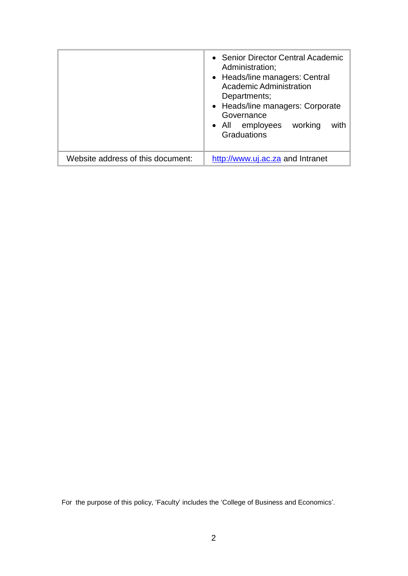|                                   | • Senior Director Central Academic<br>Administration;<br>• Heads/line managers: Central<br>Academic Administration<br>Departments;<br>• Heads/line managers: Corporate<br>Governance<br>• All employees<br>working<br>with<br>Graduations |
|-----------------------------------|-------------------------------------------------------------------------------------------------------------------------------------------------------------------------------------------------------------------------------------------|
| Website address of this document: | http://www.uj.ac.za and Intranet                                                                                                                                                                                                          |

For the purpose of this policy, 'Faculty' includes the 'College of Business and Economics'.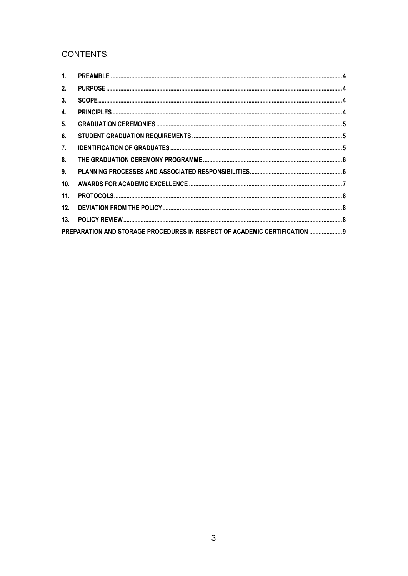# **CONTENTS:**

| 2.              |                                                                            |  |
|-----------------|----------------------------------------------------------------------------|--|
| 3.              |                                                                            |  |
| 4.              |                                                                            |  |
| 5.              |                                                                            |  |
| 6.              |                                                                            |  |
| 7.              |                                                                            |  |
| 8.              |                                                                            |  |
| 9.              |                                                                            |  |
| 10 <sub>1</sub> |                                                                            |  |
| 11.             |                                                                            |  |
| 12.             |                                                                            |  |
| 13.             |                                                                            |  |
|                 | PREPARATION AND STORAGE PROCEDURES IN RESPECT OF ACADEMIC CERTIFICATION  9 |  |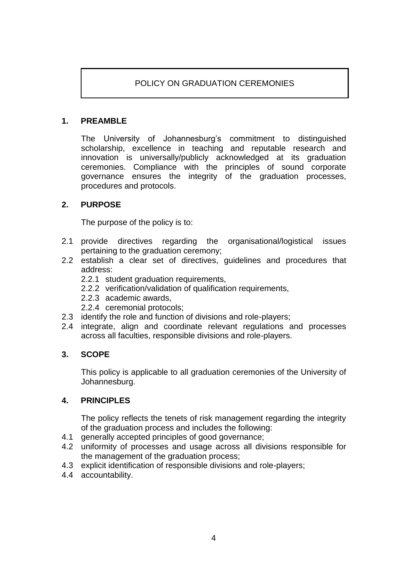# POLICY ON GRADUATION CEREMONIES

## <span id="page-3-4"></span><span id="page-3-0"></span>**1. PREAMBLE**

The University of Johannesburg's commitment to distinguished scholarship, excellence in teaching and reputable research and innovation is universally/publicly acknowledged at its graduation ceremonies. Compliance with the principles of sound corporate governance ensures the integrity of the graduation processes, procedures and protocols.

### <span id="page-3-1"></span>**2. PURPOSE**

The purpose of the policy is to:

- 2.1 provide directives regarding the organisational/logistical issues pertaining to the graduation ceremony;
- 2.2 establish a clear set of directives, guidelines and procedures that address:
	- 2.2.1 student graduation requirements,
	- 2.2.2 verification/validation of qualification requirements,
	- 2.2.3 academic awards,
	- 2.2.4 ceremonial protocols;
- 2.3 identify the role and function of divisions and role-players;
- 2.4 integrate, align and coordinate relevant regulations and processes across all faculties, responsible divisions and role-players.

#### <span id="page-3-2"></span>**3. SCOPE**

This policy is applicable to all graduation ceremonies of the University of Johannesburg.

#### <span id="page-3-3"></span>**4. PRINCIPLES**

The policy reflects the tenets of risk management regarding the integrity of the graduation process and includes the following:

- 4.1 generally accepted principles of good governance;
- 4.2 uniformity of processes and usage across all divisions responsible for the management of the graduation process;
- 4.3 explicit identification of responsible divisions and role-players;
- 4.4 accountability.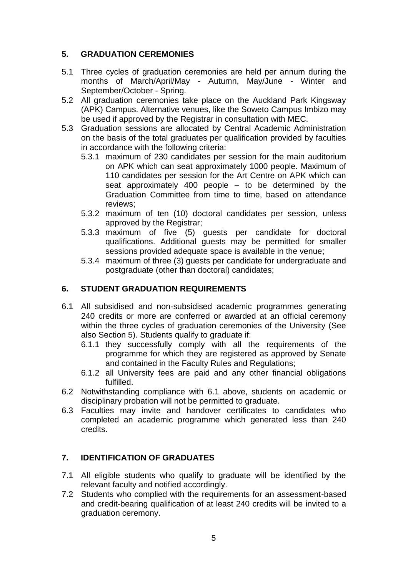# **5. GRADUATION CEREMONIES**

- 5.1 Three cycles of graduation ceremonies are held per annum during the months of March/April/May - Autumn, May/June - Winter and September/October - Spring.
- 5.2 All graduation ceremonies take place on the Auckland Park Kingsway (APK) Campus. Alternative venues, like the Soweto Campus Imbizo may be used if approved by the Registrar in consultation with MEC.
- 5.3 Graduation sessions are allocated by Central Academic Administration on the basis of the total graduates per qualification provided by faculties in accordance with the following criteria:
	- 5.3.1 maximum of 230 candidates per session for the main auditorium on APK which can seat approximately 1000 people. Maximum of 110 candidates per session for the Art Centre on APK which can seat approximately 400 people – to be determined by the Graduation Committee from time to time, based on attendance reviews;
	- 5.3.2 maximum of ten (10) doctoral candidates per session, unless approved by the Registrar;
	- 5.3.3 maximum of five (5) guests per candidate for doctoral qualifications. Additional guests may be permitted for smaller sessions provided adequate space is available in the venue;
	- 5.3.4 maximum of three (3) guests per candidate for undergraduate and postgraduate (other than doctoral) candidates;

# <span id="page-4-0"></span>**6. STUDENT GRADUATION REQUIREMENTS**

- 6.1 All subsidised and non-subsidised academic programmes generating 240 credits or more are conferred or awarded at an official ceremony within the three cycles of graduation ceremonies of the University (See also Section 5). Students qualify to graduate if:
	- 6.1.1 they successfully comply with all the requirements of the programme for which they are registered as approved by Senate and contained in the Faculty Rules and Regulations;
	- 6.1.2 all University fees are paid and any other financial obligations fulfilled.
- 6.2 Notwithstanding compliance with 6.1 above, students on academic or disciplinary probation will not be permitted to graduate.
- 6.3 Faculties may invite and handover certificates to candidates who completed an academic programme which generated less than 240 credits.

## <span id="page-4-1"></span>**7. IDENTIFICATION OF GRADUATES**

- 7.1 All eligible students who qualify to graduate will be identified by the relevant faculty and notified accordingly.
- 7.2 Students who complied with the requirements for an assessment-based and credit-bearing qualification of at least 240 credits will be invited to a graduation ceremony.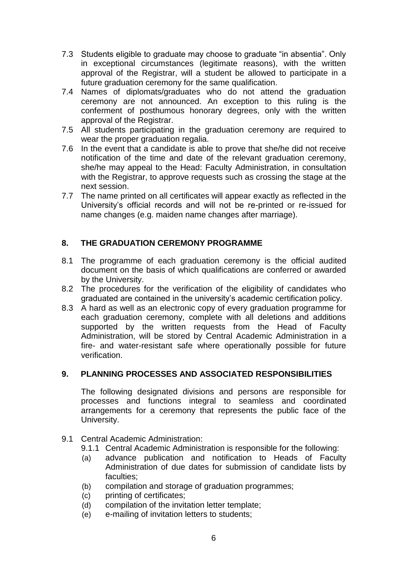- 7.3 Students eligible to graduate may choose to graduate "in absentia". Only in exceptional circumstances (legitimate reasons), with the written approval of the Registrar, will a student be allowed to participate in a future graduation ceremony for the same qualification.
- 7.4 Names of diplomats/graduates who do not attend the graduation ceremony are not announced. An exception to this ruling is the conferment of posthumous honorary degrees, only with the written approval of the Registrar.
- 7.5 All students participating in the graduation ceremony are required to wear the proper graduation regalia.
- 7.6 In the event that a candidate is able to prove that she/he did not receive notification of the time and date of the relevant graduation ceremony, she/he may appeal to the Head: Faculty Administration, in consultation with the Registrar, to approve requests such as crossing the stage at the next session.
- 7.7 The name printed on all certificates will appear exactly as reflected in the University's official records and will not be re-printed or re-issued for name changes (e.g. maiden name changes after marriage).

# <span id="page-5-0"></span>**8. THE GRADUATION CEREMONY PROGRAMME**

- 8.1 The programme of each graduation ceremony is the official audited document on the basis of which qualifications are conferred or awarded by the University.
- 8.2 The procedures for the verification of the eligibility of candidates who graduated are contained in the university's academic certification policy.
- 8.3 A hard as well as an electronic copy of every graduation programme for each graduation ceremony, complete with all deletions and additions supported by the written requests from the Head of Faculty Administration, will be stored by Central Academic Administration in a fire- and water-resistant safe where operationally possible for future verification.

## <span id="page-5-1"></span>**9. PLANNING PROCESSES AND ASSOCIATED RESPONSIBILITIES**

The following designated divisions and persons are responsible for processes and functions integral to seamless and coordinated arrangements for a ceremony that represents the public face of the University.

- 9.1 Central Academic Administration:
	- 9.1.1 Central Academic Administration is responsible for the following:
	- (a) advance publication and notification to Heads of Faculty Administration of due dates for submission of candidate lists by faculties;
	- (b) compilation and storage of graduation programmes;
	- (c) printing of certificates;
	- (d) compilation of the invitation letter template;
	- (e) e-mailing of invitation letters to students;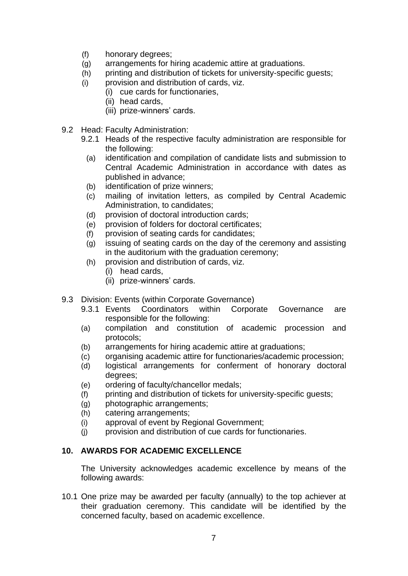- (f) honorary degrees;
- (g) arrangements for hiring academic attire at graduations.
- (h) printing and distribution of tickets for university-specific guests;
- (i) provision and distribution of cards, viz.
	- (i) cue cards for functionaries,
		- (ii) head cards,
		- (iii) prize-winners' cards.
- 9.2 Head: Faculty Administration:
	- 9.2.1 Heads of the respective faculty administration are responsible for the following:
		- (a) identification and compilation of candidate lists and submission to Central Academic Administration in accordance with dates as published in advance;
		- (b) identification of prize winners;
		- (c) mailing of invitation letters, as compiled by Central Academic Administration, to candidates;
		- (d) provision of doctoral introduction cards;
		- (e) provision of folders for doctoral certificates;
		- (f) provision of seating cards for candidates;
		- (g) issuing of seating cards on the day of the ceremony and assisting in the auditorium with the graduation ceremony;
		- (h) provision and distribution of cards, viz.
			- (i) head cards,
			- (ii) prize-winners' cards.
- 9.3 Division: Events (within Corporate Governance)
	- 9.3.1 Events Coordinators within Corporate Governance are responsible for the following:
	- (a) compilation and constitution of academic procession and protocols;
	- (b) arrangements for hiring academic attire at graduations;
	- (c) organising academic attire for functionaries/academic procession;
	- (d) logistical arrangements for conferment of honorary doctoral degrees;
	- (e) ordering of faculty/chancellor medals;
	- (f) printing and distribution of tickets for university-specific guests;
	- (g) photographic arrangements;
	- (h) catering arrangements;
	- (i) approval of event by Regional Government;
	- (j) provision and distribution of cue cards for functionaries.

#### <span id="page-6-0"></span>**10. AWARDS FOR ACADEMIC EXCELLENCE**

The University acknowledges academic excellence by means of the following awards:

10.1 One prize may be awarded per faculty (annually) to the top achiever at their graduation ceremony. This candidate will be identified by the concerned faculty, based on academic excellence.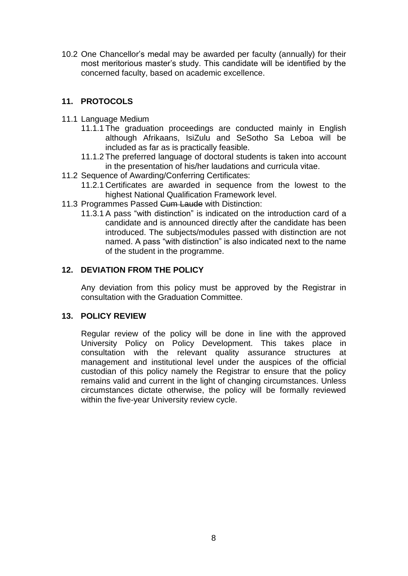10.2 One Chancellor's medal may be awarded per faculty (annually) for their most meritorious master's study. This candidate will be identified by the concerned faculty, based on academic excellence.

### <span id="page-7-0"></span>**11. PROTOCOLS**

- 11.1 Language Medium
	- 11.1.1 The graduation proceedings are conducted mainly in English although Afrikaans, IsiZulu and SeSotho Sa Leboa will be included as far as is practically feasible.
	- 11.1.2 The preferred language of doctoral students is taken into account in the presentation of his/her laudations and curricula vitae.
- 11.2 Sequence of Awarding/Conferring Certificates:
	- 11.2.1 Certificates are awarded in sequence from the lowest to the highest National Qualification Framework level.
- 11.3 Programmes Passed Cum Laude with Distinction:
	- 11.3.1 A pass "with distinction" is indicated on the introduction card of a candidate and is announced directly after the candidate has been introduced. The subjects/modules passed with distinction are not named. A pass "with distinction" is also indicated next to the name of the student in the programme.

## <span id="page-7-1"></span>**12. DEVIATION FROM THE POLICY**

Any deviation from this policy must be approved by the Registrar in consultation with the Graduation Committee.

#### <span id="page-7-2"></span>**13. POLICY REVIEW**

Regular review of the policy will be done in line with the approved University Policy on Policy Development. This takes place in consultation with the relevant quality assurance structures at management and institutional level under the auspices of the official custodian of this policy namely the Registrar to ensure that the policy remains valid and current in the light of changing circumstances. Unless circumstances dictate otherwise, the policy will be formally reviewed within the five-year University review cycle.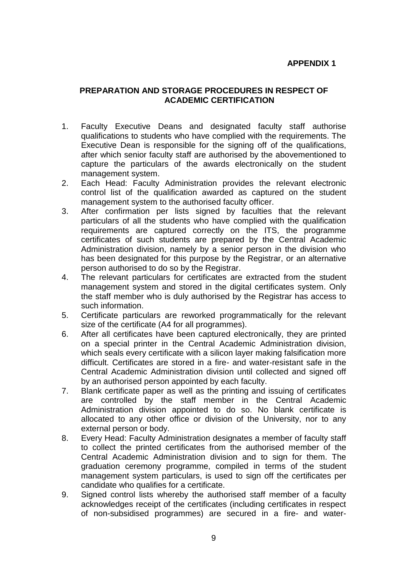## **APPENDIX 1**

### <span id="page-8-0"></span>**PREPARATION AND STORAGE PROCEDURES IN RESPECT OF ACADEMIC CERTIFICATION**

- 1. Faculty Executive Deans and designated faculty staff authorise qualifications to students who have complied with the requirements. The Executive Dean is responsible for the signing off of the qualifications, after which senior faculty staff are authorised by the abovementioned to capture the particulars of the awards electronically on the student management system.
- 2. Each Head: Faculty Administration provides the relevant electronic control list of the qualification awarded as captured on the student management system to the authorised faculty officer.
- 3. After confirmation per lists signed by faculties that the relevant particulars of all the students who have complied with the qualification requirements are captured correctly on the ITS, the programme certificates of such students are prepared by the Central Academic Administration division, namely by a senior person in the division who has been designated for this purpose by the Registrar, or an alternative person authorised to do so by the Registrar.
- 4. The relevant particulars for certificates are extracted from the student management system and stored in the digital certificates system. Only the staff member who is duly authorised by the Registrar has access to such information.
- 5. Certificate particulars are reworked programmatically for the relevant size of the certificate (A4 for all programmes).
- 6. After all certificates have been captured electronically, they are printed on a special printer in the Central Academic Administration division, which seals every certificate with a silicon layer making falsification more difficult. Certificates are stored in a fire- and water-resistant safe in the Central Academic Administration division until collected and signed off by an authorised person appointed by each faculty.
- 7. Blank certificate paper as well as the printing and issuing of certificates are controlled by the staff member in the Central Academic Administration division appointed to do so. No blank certificate is allocated to any other office or division of the University, nor to any external person or body.
- 8. Every Head: Faculty Administration designates a member of faculty staff to collect the printed certificates from the authorised member of the Central Academic Administration division and to sign for them. The graduation ceremony programme, compiled in terms of the student management system particulars, is used to sign off the certificates per candidate who qualifies for a certificate.
- 9. Signed control lists whereby the authorised staff member of a faculty acknowledges receipt of the certificates (including certificates in respect of non-subsidised programmes) are secured in a fire- and water-